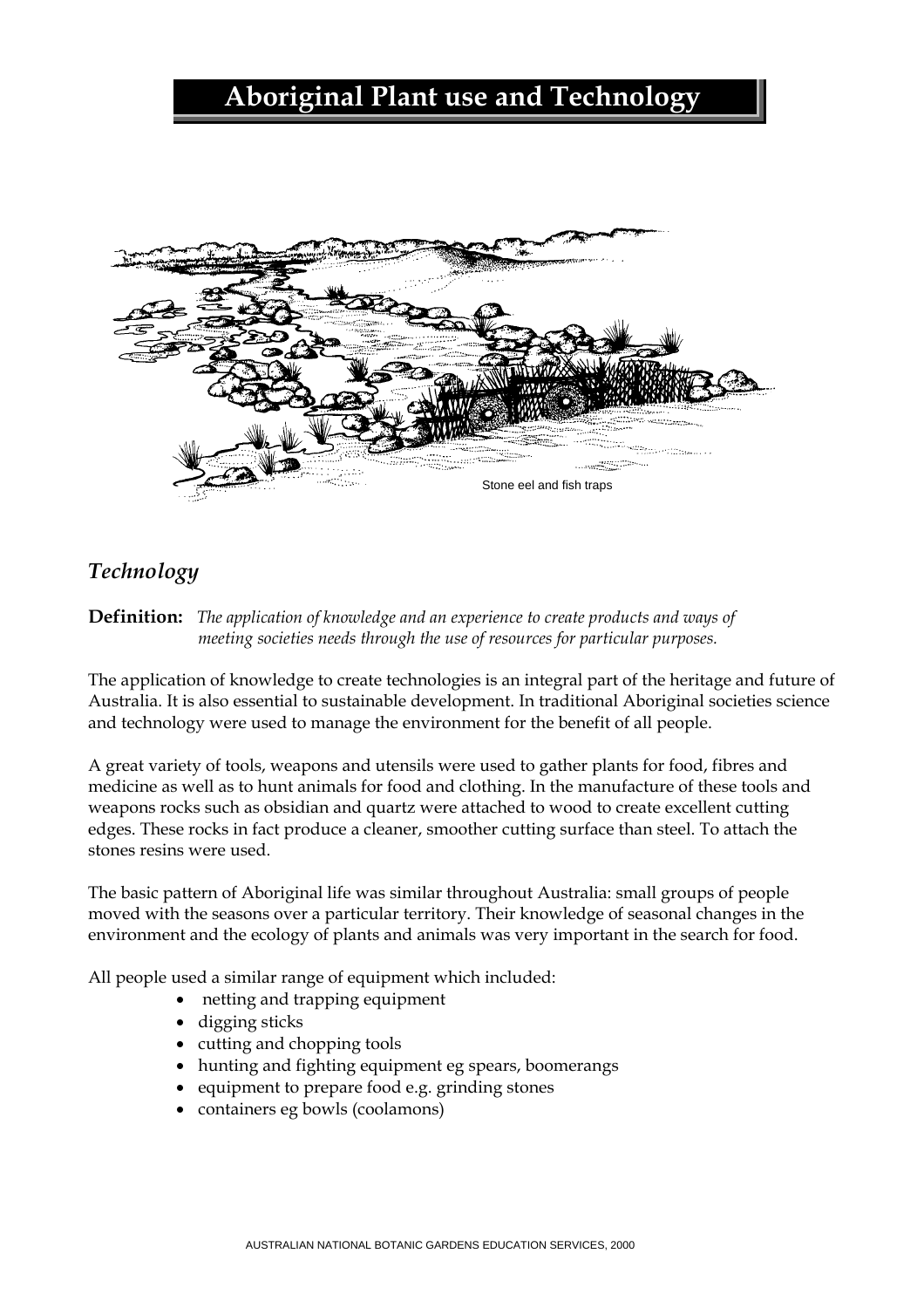# **Aboriginal Plant use and Technology**



# *Technology*

**Definition:** *The application of knowledge and an experience to create products and ways of meeting societies needs through the use of resources for particular purposes.* 

The application of knowledge to create technologies is an integral part of the heritage and future of Australia. It is also essential to sustainable development. In traditional Aboriginal societies science and technology were used to manage the environment for the benefit of all people.

A great variety of tools, weapons and utensils were used to gather plants for food, fibres and medicine as well as to hunt animals for food and clothing. In the manufacture of these tools and weapons rocks such as obsidian and quartz were attached to wood to create excellent cutting edges. These rocks in fact produce a cleaner, smoother cutting surface than steel. To attach the stones resins were used.

The basic pattern of Aboriginal life was similar throughout Australia: small groups of people moved with the seasons over a particular territory. Their knowledge of seasonal changes in the environment and the ecology of plants and animals was very important in the search for food.

All people used a similar range of equipment which included:

- netting and trapping equipment
- digging sticks
- cutting and chopping tools
- hunting and fighting equipment eg spears, boomerangs
- equipment to prepare food e.g. grinding stones
- containers eg bowls (coolamons)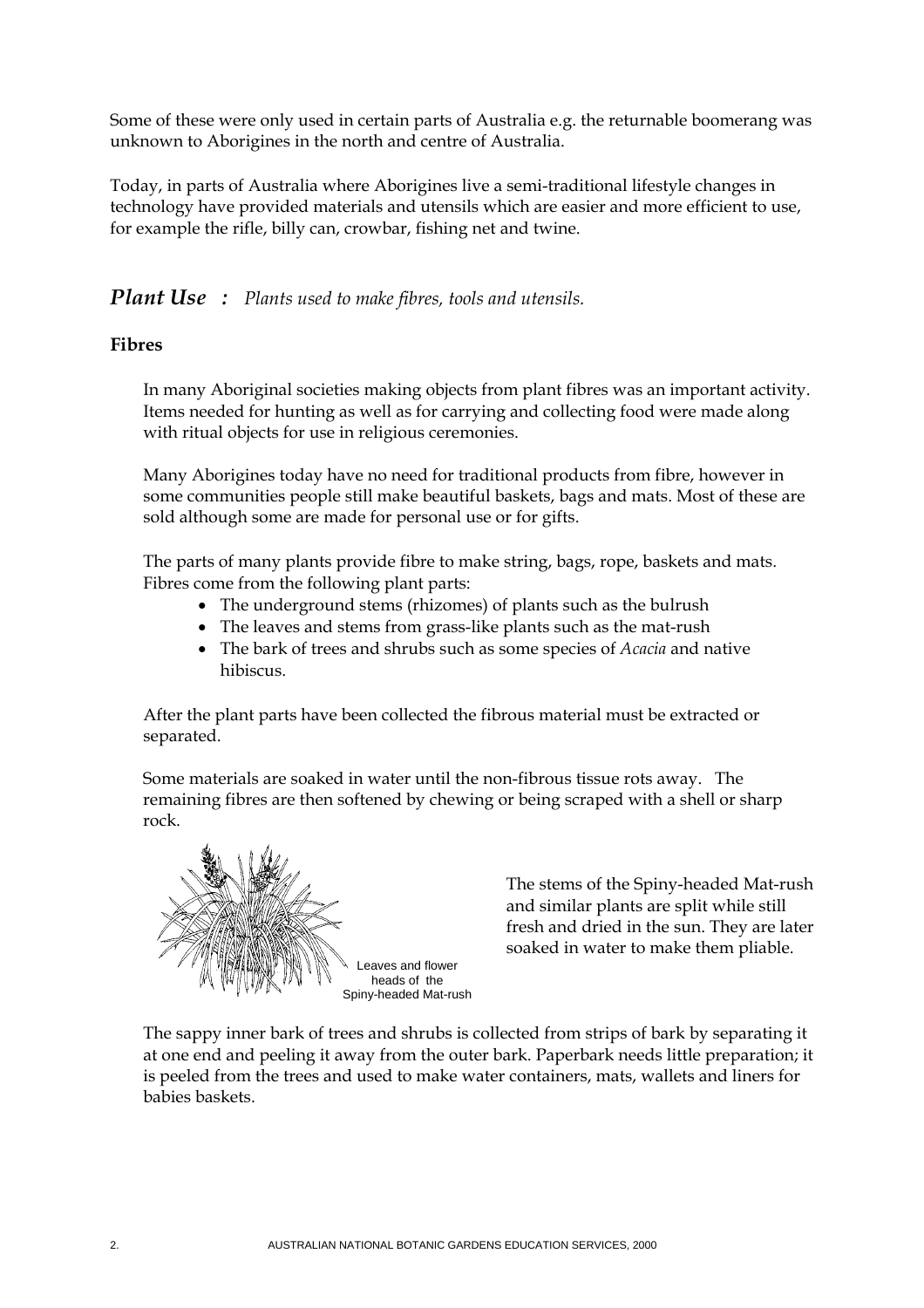Some of these were only used in certain parts of Australia e.g. the returnable boomerang was unknown to Aborigines in the north and centre of Australia.

Today, in parts of Australia where Aborigines live a semi-traditional lifestyle changes in technology have provided materials and utensils which are easier and more efficient to use, for example the rifle, billy can, crowbar, fishing net and twine.

# *Plant Use : Plants used to make fibres, tools and utensils.*

#### **Fibres**

In many Aboriginal societies making objects from plant fibres was an important activity. Items needed for hunting as well as for carrying and collecting food were made along with ritual objects for use in religious ceremonies.

Many Aborigines today have no need for traditional products from fibre, however in some communities people still make beautiful baskets, bags and mats. Most of these are sold although some are made for personal use or for gifts.

The parts of many plants provide fibre to make string, bags, rope, baskets and mats. Fibres come from the following plant parts:

- The underground stems (rhizomes) of plants such as the bulrush
- The leaves and stems from grass-like plants such as the mat-rush
- The bark of trees and shrubs such as some species of *Acacia* and native hibiscus.

After the plant parts have been collected the fibrous material must be extracted or separated.

Some materials are soaked in water until the non-fibrous tissue rots away. The remaining fibres are then softened by chewing or being scraped with a shell or sharp rock.



The stems of the Spiny-headed Mat-rush and similar plants are split while still fresh and dried in the sun. They are later soaked in water to make them pliable.

The sappy inner bark of trees and shrubs is collected from strips of bark by separating it at one end and peeling it away from the outer bark. Paperbark needs little preparation; it is peeled from the trees and used to make water containers, mats, wallets and liners for babies baskets.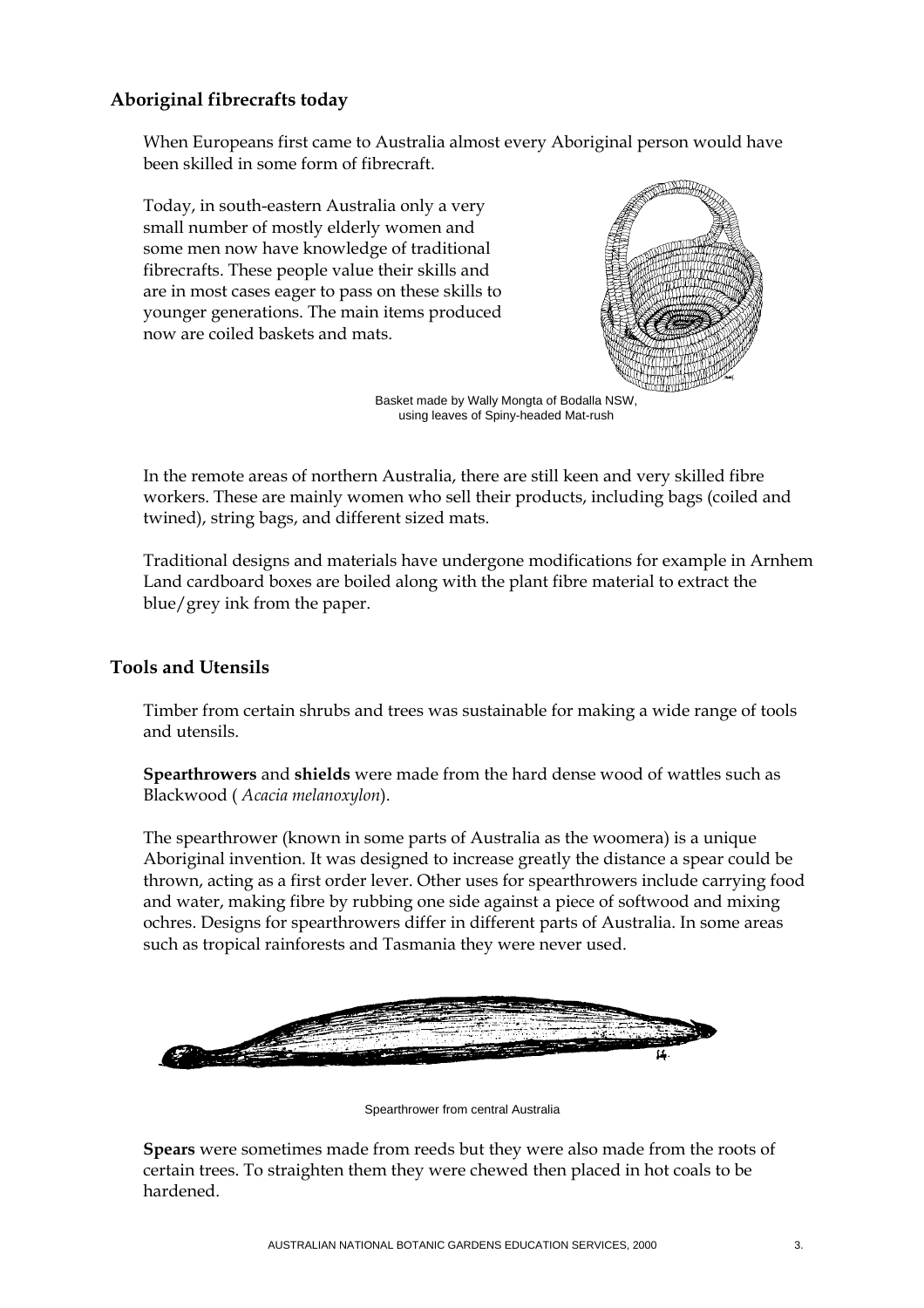## **Aboriginal fibrecrafts today**

When Europeans first came to Australia almost every Aboriginal person would have been skilled in some form of fibrecraft.

Today, in south-eastern Australia only a very small number of mostly elderly women and some men now have knowledge of traditional fibrecrafts. These people value their skills and are in most cases eager to pass on these skills to younger generations. The main items produced now are coiled baskets and mats.



Basket made by Wally Mongta of Bodalla NSW, using leaves of Spiny-headed Mat-rush

In the remote areas of northern Australia, there are still keen and very skilled fibre workers. These are mainly women who sell their products, including bags (coiled and twined), string bags, and different sized mats.

Traditional designs and materials have undergone modifications for example in Arnhem Land cardboard boxes are boiled along with the plant fibre material to extract the blue/grey ink from the paper.

## **Tools and Utensils**

Timber from certain shrubs and trees was sustainable for making a wide range of tools and utensils.

**Spearthrowers** and **shields** were made from the hard dense wood of wattles such as Blackwood ( *Acacia melanoxylon*).

The spearthrower (known in some parts of Australia as the woomera) is a unique Aboriginal invention. It was designed to increase greatly the distance a spear could be thrown, acting as a first order lever. Other uses for spearthrowers include carrying food and water, making fibre by rubbing one side against a piece of softwood and mixing ochres. Designs for spearthrowers differ in different parts of Australia. In some areas such as tropical rainforests and Tasmania they were never used.



Spearthrower from central Australia

**Spears** were sometimes made from reeds but they were also made from the roots of certain trees. To straighten them they were chewed then placed in hot coals to be hardened.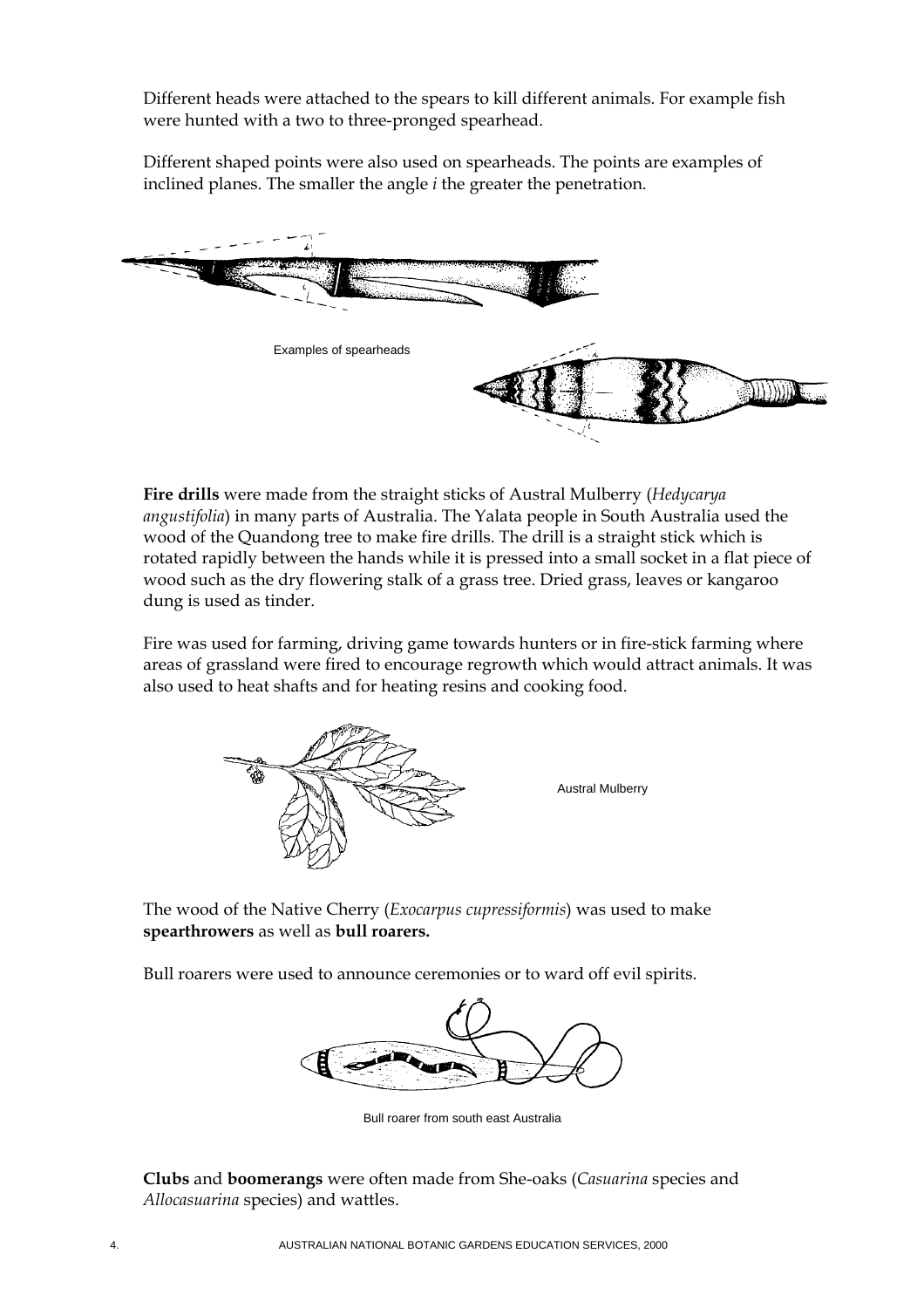Different heads were attached to the spears to kill different animals. For example fish were hunted with a two to three-pronged spearhead.

Different shaped points were also used on spearheads. The points are examples of inclined planes. The smaller the angle *i* the greater the penetration.



**Fire drills** were made from the straight sticks of Austral Mulberry (*Hedycarya angustifolia*) in many parts of Australia. The Yalata people in South Australia used the wood of the Quandong tree to make fire drills. The drill is a straight stick which is rotated rapidly between the hands while it is pressed into a small socket in a flat piece of wood such as the dry flowering stalk of a grass tree. Dried grass, leaves or kangaroo dung is used as tinder.

Fire was used for farming, driving game towards hunters or in fire-stick farming where areas of grassland were fired to encourage regrowth which would attract animals. It was also used to heat shafts and for heating resins and cooking food.



The wood of the Native Cherry (*Exocarpus cupressiformis*) was used to make **spearthrowers** as well as **bull roarers.**

Bull roarers were used to announce ceremonies or to ward off evil spirits.



Bull roarer from south east Australia

**Clubs** and **boomerangs** were often made from She-oaks (*Casuarina* species and *Allocasuarina* species) and wattles.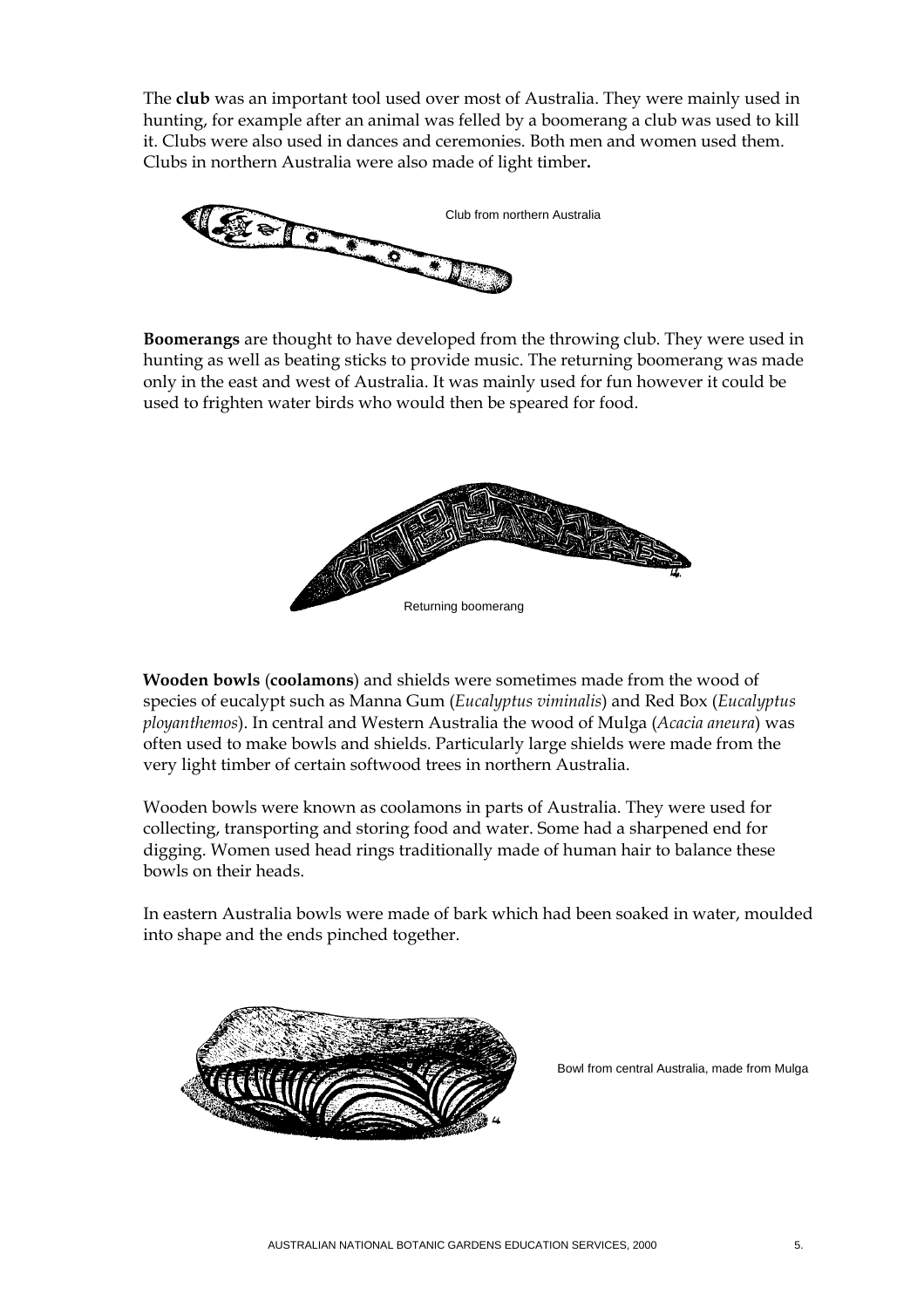The **club** was an important tool used over most of Australia. They were mainly used in hunting, for example after an animal was felled by a boomerang a club was used to kill it. Clubs were also used in dances and ceremonies. Both men and women used them. Clubs in northern Australia were also made of light timber**.** 



**Boomerangs** are thought to have developed from the throwing club. They were used in hunting as well as beating sticks to provide music. The returning boomerang was made only in the east and west of Australia. It was mainly used for fun however it could be used to frighten water birds who would then be speared for food.



**Wooden bowls** (**coolamons**) and shields were sometimes made from the wood of species of eucalypt such as Manna Gum (*Eucalyptus viminalis*) and Red Box (*Eucalyptus ployanthemos*). In central and Western Australia the wood of Mulga (*Acacia aneura*) was often used to make bowls and shields. Particularly large shields were made from the very light timber of certain softwood trees in northern Australia.

Wooden bowls were known as coolamons in parts of Australia. They were used for collecting, transporting and storing food and water. Some had a sharpened end for digging. Women used head rings traditionally made of human hair to balance these bowls on their heads.

In eastern Australia bowls were made of bark which had been soaked in water, moulded into shape and the ends pinched together.



Bowl from central Australia, made from Mulga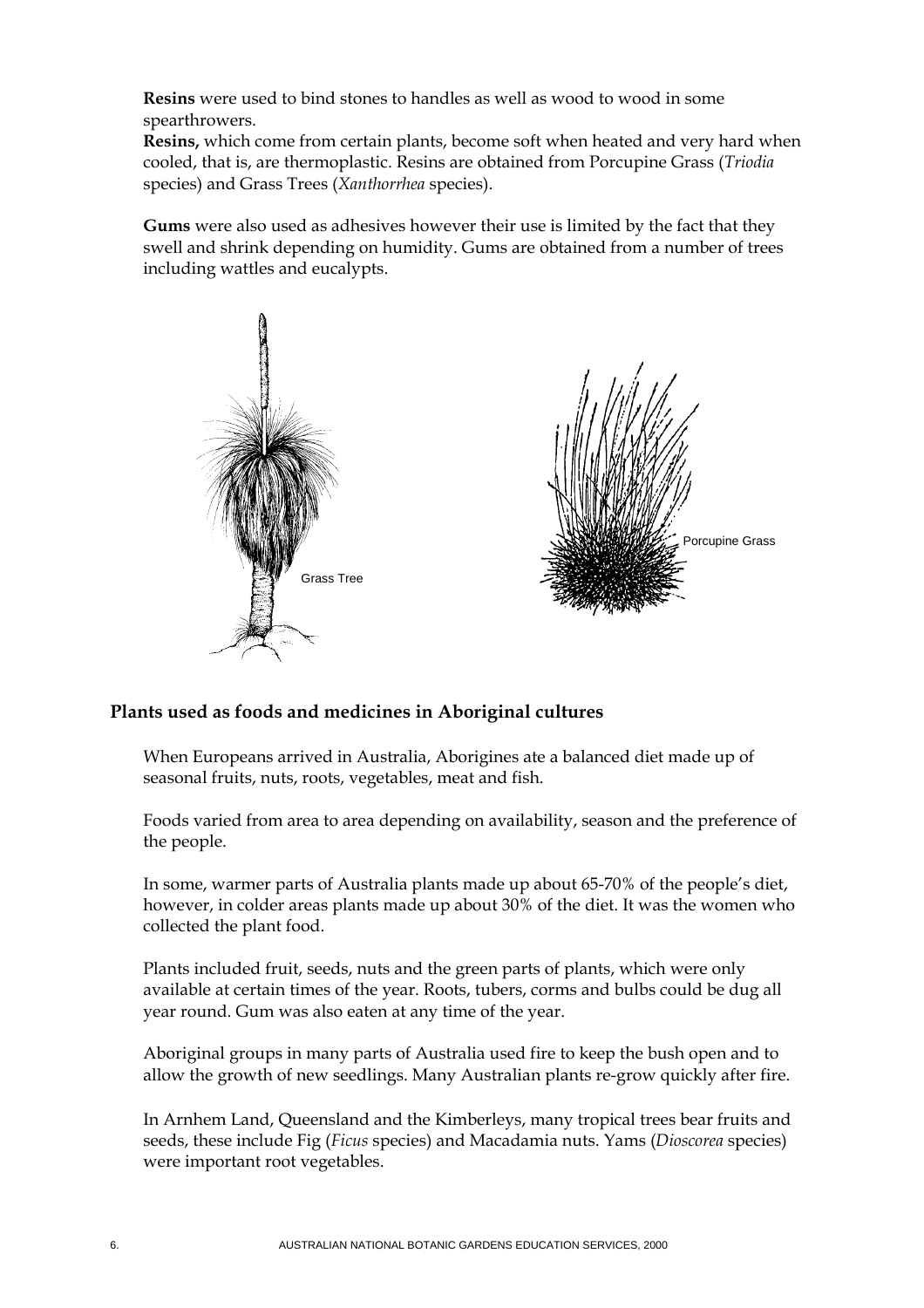**Resins** were used to bind stones to handles as well as wood to wood in some spearthrowers.

**Resins,** which come from certain plants, become soft when heated and very hard when cooled, that is, are thermoplastic. Resins are obtained from Porcupine Grass (*Triodia* species) and Grass Trees (*Xanthorrhea* species).

**Gums** were also used as adhesives however their use is limited by the fact that they swell and shrink depending on humidity. Gums are obtained from a number of trees including wattles and eucalypts.



#### **Plants used as foods and medicines in Aboriginal cultures**

When Europeans arrived in Australia, Aborigines ate a balanced diet made up of seasonal fruits, nuts, roots, vegetables, meat and fish.

Foods varied from area to area depending on availability, season and the preference of the people.

In some, warmer parts of Australia plants made up about 65-70% of the people's diet, however, in colder areas plants made up about 30% of the diet. It was the women who collected the plant food.

Plants included fruit, seeds, nuts and the green parts of plants, which were only available at certain times of the year. Roots, tubers, corms and bulbs could be dug all year round. Gum was also eaten at any time of the year.

Aboriginal groups in many parts of Australia used fire to keep the bush open and to allow the growth of new seedlings. Many Australian plants re-grow quickly after fire.

In Arnhem Land, Queensland and the Kimberleys, many tropical trees bear fruits and seeds, these include Fig (*Ficus* species) and Macadamia nuts. Yams (*Dioscorea* species) were important root vegetables.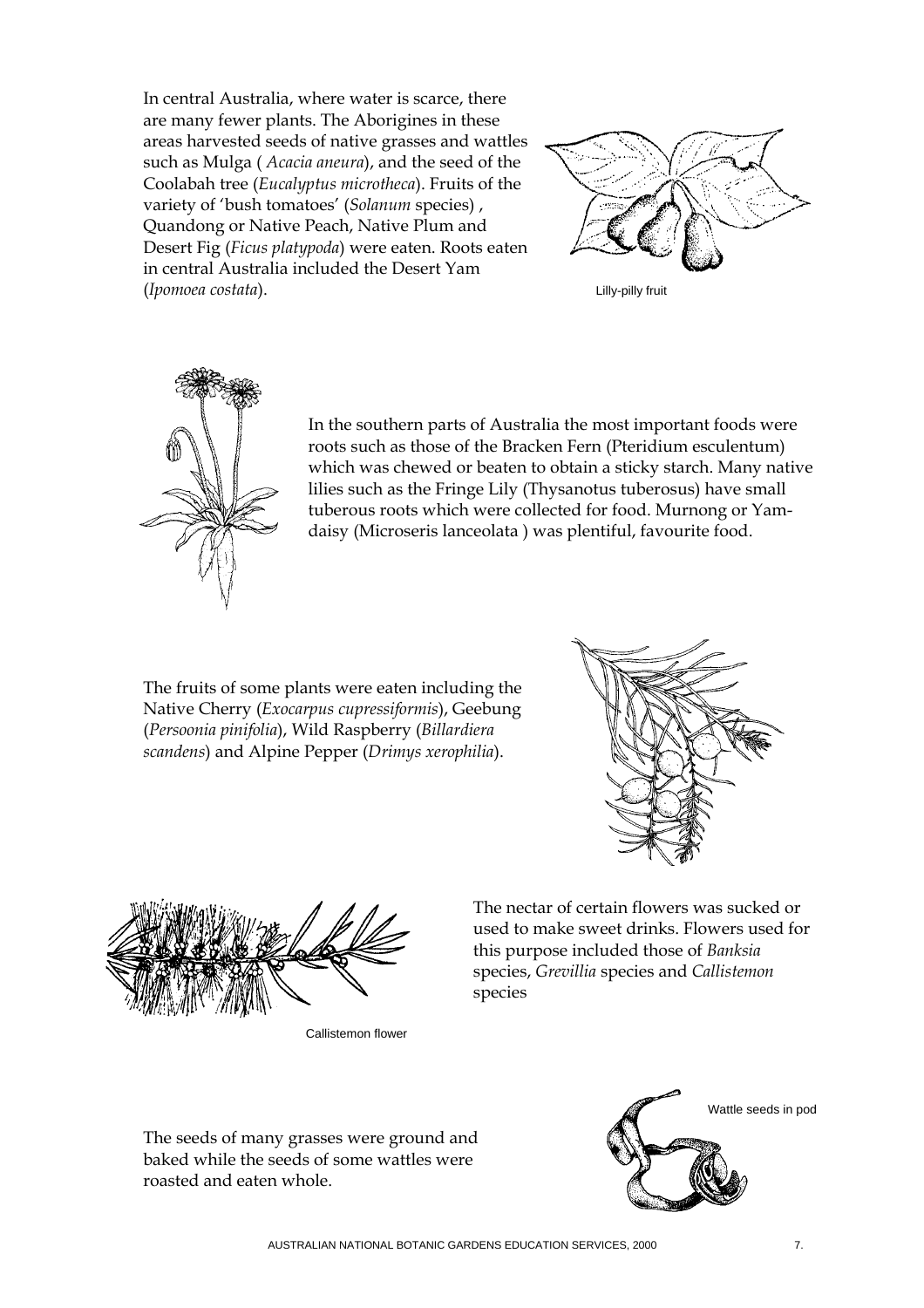In central Australia, where water is scarce, there are many fewer plants. The Aborigines in these areas harvested seeds of native grasses and wattles such as Mulga ( *Acacia aneura*), and the seed of the Coolabah tree (*Eucalyptus microtheca*). Fruits of the variety of 'bush tomatoes' (*Solanum* species) , Quandong or Native Peach, Native Plum and Desert Fig (*Ficus platypoda*) were eaten. Roots eaten in central Australia included the Desert Yam (*Ipomoea costata*). Lilly-pilly fruit





In the southern parts of Australia the most important foods were roots such as those of the Bracken Fern (Pteridium esculentum) which was chewed or beaten to obtain a sticky starch. Many native lilies such as the Fringe Lily (Thysanotus tuberosus) have small tuberous roots which were collected for food. Murnong or Yamdaisy (Microseris lanceolata ) was plentiful, favourite food.

The fruits of some plants were eaten including the Native Cherry (*Exocarpus cupressiformis*), Geebung (*Persoonia pinifolia*), Wild Raspberry (*Billardiera scandens*) and Alpine Pepper (*Drimys xerophilia*).





Callistemon flower

The nectar of certain flowers was sucked or used to make sweet drinks. Flowers used for this purpose included those of *Banksia*  species, *Grevillia* species and *Callistemon* species

The seeds of many grasses were ground and baked while the seeds of some wattles were roasted and eaten whole.